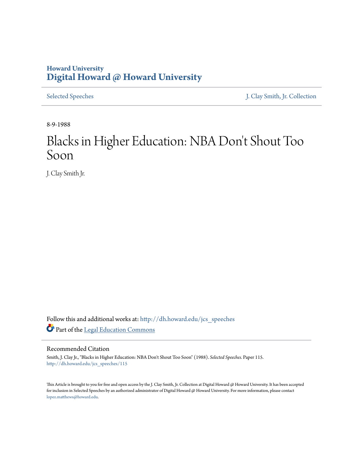## **Howard University [Digital Howard @ Howard University](http://dh.howard.edu?utm_source=dh.howard.edu%2Fjcs_speeches%2F115&utm_medium=PDF&utm_campaign=PDFCoverPages)**

[Selected Speeches](http://dh.howard.edu/jcs_speeches?utm_source=dh.howard.edu%2Fjcs_speeches%2F115&utm_medium=PDF&utm_campaign=PDFCoverPages) [J. Clay Smith, Jr. Collection](http://dh.howard.edu/jcsmith?utm_source=dh.howard.edu%2Fjcs_speeches%2F115&utm_medium=PDF&utm_campaign=PDFCoverPages)

8-9-1988

## Blacks in Higher Education: NBA Don 't Shout Too Soon

J. Clay Smith Jr.

Follow this and additional works at: [http://dh.howard.edu/jcs\\_speeches](http://dh.howard.edu/jcs_speeches?utm_source=dh.howard.edu%2Fjcs_speeches%2F115&utm_medium=PDF&utm_campaign=PDFCoverPages) Part of the [Legal Education Commons](http://network.bepress.com/hgg/discipline/857?utm_source=dh.howard.edu%2Fjcs_speeches%2F115&utm_medium=PDF&utm_campaign=PDFCoverPages)

## Recommended Citation

Smith, J. Clay Jr., "Blacks in Higher Education: NBA Don't Shout Too Soon" (1988). *Selected Speeches.* Paper 115. [http://dh.howard.edu/jcs\\_speeches/115](http://dh.howard.edu/jcs_speeches/115?utm_source=dh.howard.edu%2Fjcs_speeches%2F115&utm_medium=PDF&utm_campaign=PDFCoverPages)

This Article is brought to you for free and open access by the J. Clay Smith, Jr. Collection at Digital Howard @ Howard University. It has been accepted for inclusion in Selected Speeches by an authorized administrator of Digital Howard @ Howard University. For more information, please contact [lopez.matthews@howard.edu.](mailto:lopez.matthews@howard.edu)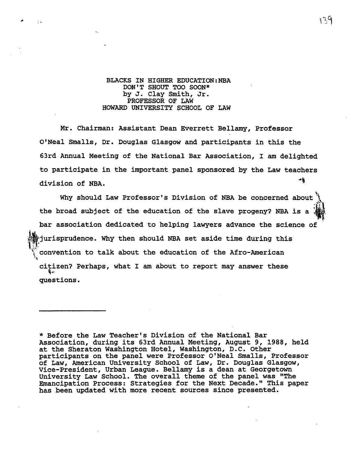## BLACKS IN HIGHER EDUCATION:NBA DON'T SHOUT TOO SOON\* by J. Clay Smith, Jr. PROFESSOR OF LAW HOWARD UNIVERSITY SCHOOL OF LAW

 $\epsilon$  ,  $\alpha$ 

Mr. Chairman: Assistant Dean Everrett Bellamy, Professor O'Neal Smalls, Dr. Douglas Glasgow and participants in this the 63rd Annual Meeting of the National Bar Association, I am delighted to participate in the important panel sponsored by the Law teachers 村 division of NBA.

Why should Law Professor's Division of NBA be concerned about the broad subject of the education of the slave progeny? NBA is a  $\mathcal{C}$ bar association dedicated to helping lawyers advance the science of ~:jurisprudence. Why then should NBA set aside time during this convention to talk about the education of the Afro-American citizen? Perhaps, what I am about to report may answer these ~~ questions.

\* Before the Law Teacher's Division of the National Bar Association, during its 63rd Annual Meeting, August 9, 1988, held at the Sheraton Washington Hotel, Washington, D.C. Other participants on the panel were Professor O'Neal Smalls, Professor of Law, American University School of Law, Dr. Douglas Glasgow, Vice-President, Urban League. Bellamy is a dean at Georgetown University Law School. The overall theme of the panel was "The Emancipation Process: Strategies for the Next Decade." This paper has been updated with more recent sources since presented.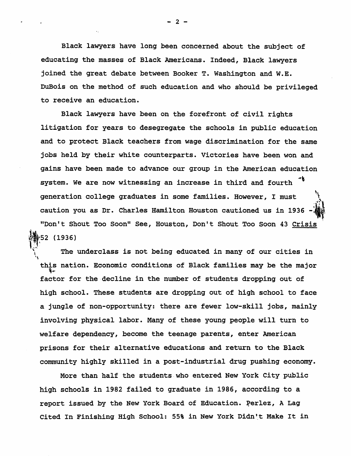Black lawyers have long been concerned about the subject of educating the masses of Black Americans. Indeed, Black lawyers joined the great debate between Booker T. Washington and W.E. DuBois on the method of such education and who should be privileged to receive an education.

Black lawyers have been on the forefront of civil rights litigation for years to desegregate the schools in public education and to protect Black teachers from wage discrimination for the same jobs held by their white counterparts. Victories have been won and gains have been made to advance our group *in* the American education system. We are now witnessing an increase in third and fourth generation college graduates in some families. However, I must caution you as Dr. Charles Hamilton Houston cautioned us *in 1936*   $\mathbf{v}_i$  $\frac{1}{2}$ "Don't Shout Too Soon" See, Houston, Don't Shout Too Soon 43 Crisis  $+52$  (1936)

The underclass is not being educated in many of our cities in this nation. Economic conditions of Black families may be the major factor for the decline in the number of students dropping out of high school. These students are dropping out of high school to face a jungle of non-opportunity: there are fewer low-skill jobs, mainly involving physical labor. Many of these young people will turn to welfare dependency, become the teenage parents, enter American prisons for their alternative educations and return to the Black community highly skilled in a post-industrial drug pushing economy.

More than half the students-who entered New York City public high schools in 1982 failed to graduate in 1986, according to a report issued by the New York Board of Education. Perlez, A Lag Cited In Finishing High School: 55% in New York Didn't Make It in

 $2<sup>-2</sup>$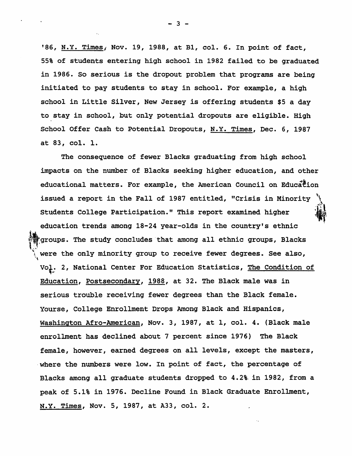'86, N.Y. Times, Nov. 19, 1988, at Bl, col. 6. In point of fact, 55% of students entering high school in 1982 failed to be graduated in 1986. So serious is the dropout problem that programs are being initiated to pay students to stay in school. For example, a high school in Little Silver, New Jersey *is* offering students \$5 a day to stay *in* school, but only potential dropouts are eligible. High School Offer Cash to Potential Dropouts, N.Y. Times, Dec. 6, 1987 at 83, col. 1.

The consequence of fewer Blacks graduating from high school impacts on the number of Blacks seeking higher education, and other educational matters. For example, the American Council on Education issued a report *in* the Fall of 1987 entitled, *"Crisis in* Minority '\ Students College Participation." This report examined higher education trends among 18-24 year-olds *in* the country's ethnic groups. The study concludes that among all ethnic groups, Blacks were the only minority group to receive fewer degrees. See also,  $\mathcal{F}$ VOf .. 2, National Center For Education Statistics, <u>The Condition of</u> Education, Postsecondary, 1988, at 32. The Black male was in serious trouble receiving fewer degrees than the Black female. Yourse, College Enrollment Drops Among Black and Hispanics, Washington Afro-American, Nov. 3, 1987, at 1, col. 4. (Black male enrollment has declined about 7 percent since 1976) The Black female, however, earned degrees on all levels, except the masters, where the numbers were low. In point of fact, the percentage of Blacks among all graduate-students dropped to 4.2%- in 1982, from a peak of 5.1% in 1976. Decline Found in Black Graduate Enrollment, N.Y. Times, Nov. 5, 1987, at A33, col. 2.

- 3 -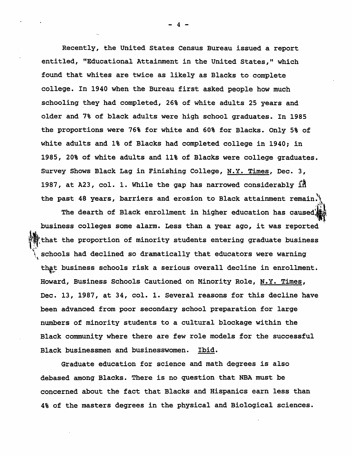Recently, the United States Census Bureau issued a report entitled, "Educational Attainment in the United States," which found that whites are twice as likely as Blacks to complete college. In 1940 when the Bureau first asked people how much schooling they had completed, 26% of white adults 25 years and older and 7% of black adults were high school graduates. In 1985 the proportions were 76% for white and 60% for Blacks. Only 5% of white adults and 1% of Blacks had completed college in 1940; in 1985, 20% of white adults and 11% of Blacks were college graduates. Survey Shows Black Lag in Finishing College, N.Y. Times, Dec. 3, 1987, at A23, col. 1. While the gap has narrowed considerably  $\tilde{R}$ the past 48 years, barriers and erosion to Black attainment remain. $\mathcal{N}$ 

The dearth of Black enrollment in higher education has caused: $^{\bullet}_{\bullet}$ business colleges some alarm. Less than a year ago, it was reported that the proportion of minority students entering graduate business schools had declined so dramatically that educators were warning that business schools risk a serious overall decline in enrollment. Howard, Business Schools Cautioned on Minority Role, N.Y. Times, Dec. 13, 1987, at 34, col. 1. Several reasons for this decline have been advanced from poor secondary school preparation for large numbers of minority students to a cultural blockage within the Black community where there are few role models for the successful Black businessmen and businesswomen. Ibid.

Graduate education for science and math degrees is also debased among Blacks. There is no question that NBA must be concerned about the fact that Blacks and Hispanics earn less than 4% of the masters degrees in the physical and Biological sciences.

- 4 -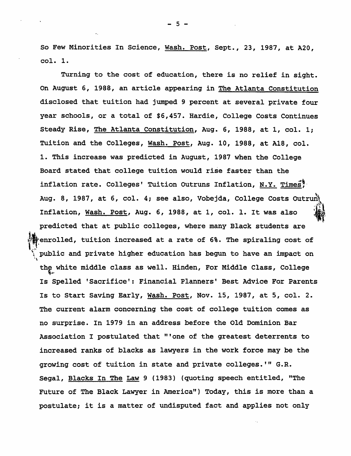So Few Minorities In Science, Wash. Post, Sept., 23, 1987, at A20, col. 1.

Turning to the cost of education, there *is* no relief in sight. On August 6, 1988, an article appearing in The Atlanta Constitution disclosed that tuition had jumped 9 percent at several private four year schools, or a total of \$6,457. Hardie, College Costs Continues Steady Rise, The Atlanta Constitution, Aug. 6, 1988, at 1, col. 1; Tuition and the Colleges, Wash. Post, Aug. 10, 1988, at A18, col. 1. This increase was predicted in August, 1987 when the College Board stated that college tuition would rise faster than the inflation rate. Colleges' Tuition Outruns Inflation, N.Y. Times! Aug. 8, 1987, at 6, col. 4; see also, Vobejda, College Costs Outrun Inflation, Wash. Post, Aug. 6, 1988, at 1, col. 1. It was also predicted that at public colleges, where many Black students are renrolled, tuition increased at a rate of 6%. The spiraling cost of public and private higher education has begun to have an impact on '\ the white middle class as well. Hinden, For Middle Class, College Is Spelled 'Sacrifice': Financial Planners' Best Advice For Parents Is to Start Saving Early, Wash. Post, Nov. 15, 1987, at 5, col. 2. The current alarm concerning the cost of college tuition comes as no surprise. In 1979 in an address before the Old Dominion Bar Association I postulated that "'one of the greatest deterrents to increased ranks of blacks as lawyers in the work force may be the growing cost of tuition in state and private colleges.'" G.R. Segal, Blacks In The Law 9 (1983) (quoting speech entitled, "The Future of The Black Lawyer in America") Today, this is more than a postulate; it is a matter of undisputed fact and applies not only

- 5 -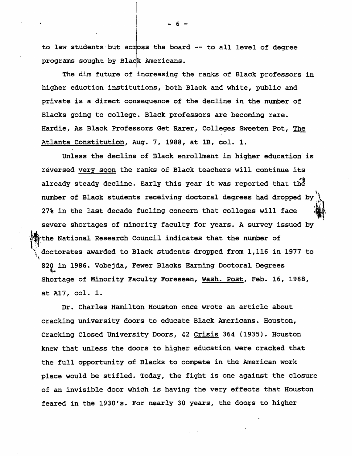to law students but across the board -- to all level of degree programs sought by Black Americans.

The dim future of increasing the ranks of Black professors in higher eduction institutions, both Black and white, public and private is a direct consequence of the decline *in* the number of Blacks going to college. Black professors are becoming rare. Hardie, As Black Professors Get Rarer, Colleges sweeten Pot, The Atlanta Constitution, Aug. 7, 1988, at IB, col. 1.

Unless the decline of Black enrollment in higher education is reversed very soon the ranks of Black teachers will continue its already steady decline. Early this year it was reported that the  $\ddot{\phantom{1}}$ number of Black students receiving doctoral degrees had dropped by. 27% in the last decade fueling concern that colleges will face severe shortages of minority faculty for years. A survey issued by the National Research Council indicates that the number of doctorates awarded to Black students dropped from 1,116 in 1977 to "\ 820 in 1986. Vobejda, Fewer Blacks Earning Doctoral Degrees Shortage of Minority Faculty Foreseen, Wash. Post, Feb. 16, 1988, at A17, col. 1.

Dr. Charles Hamilton Houston once wrote an article about cracking university doors to educate Black Americans. Houston, Cracking Closed University Doors, 42 Crisis 364 (1935). Houston knew that unless the doors to higher education were cracked that the full opportunity of Blacks to compete in the American work place would be stifled. Today, the fight *is* one against the closure of an invisible door which *is* having the very effects that Houston feared in the 1930's. For nearly 30 years, the doors to higher

- 6 -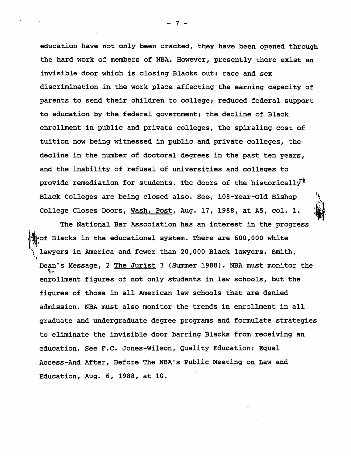education have not only been cracked, they have been opened through the hard work of members of NBA. However, presently there exist an invisible door which *is* closing Blacks out: race and sex discrimination in the work place affecting the earning capacity of parents to send their children to college; reduced federal support to education by the federal government; the decline of Black enrollment in public and private colleges, the spiraling cost of tuition now being witnessed in public and private colleges, the decline'in the number of doctoral degrees in the past ten years, and the inability of refusal of universities and colleges to provide remediation for students. The doors of the historically<sup>\*</sup> Black Colleges are being closed also. See, 108-Year-Old Bishop College Closes Doors, Wash. Post, Aug. 17, 1988, at AS, col. 1.

The National Bar Association has an interest in the progress  $^{14}_{919}$  of Blacks in the educational system. There are 600,000 white The National Bar Association has an interest in the progrem<br>of Blacks in the educational system. There are 600,000 white<br>lawyers in America and fewer than 20,000 Black lawyers. Smith, '\ Dean's Message, 2 The Jurist 3 (Summer 1988). NBA must monitor the enrollment figures of not only students in law schools, but the figures of those in all American law schools that are denied admission. NBA must also monitor the trends in enrollment in all graduate and undergraduate degree programs and formulate strategies to eliminate the invisible door barring Blacks from receiving an education. See F.C. Jones-Wilson, Quality Education: Equal Access-And After, Before The NBA's Public Meeting on Law and Education, Aug. 6, 1988, at 10.

- 7 -